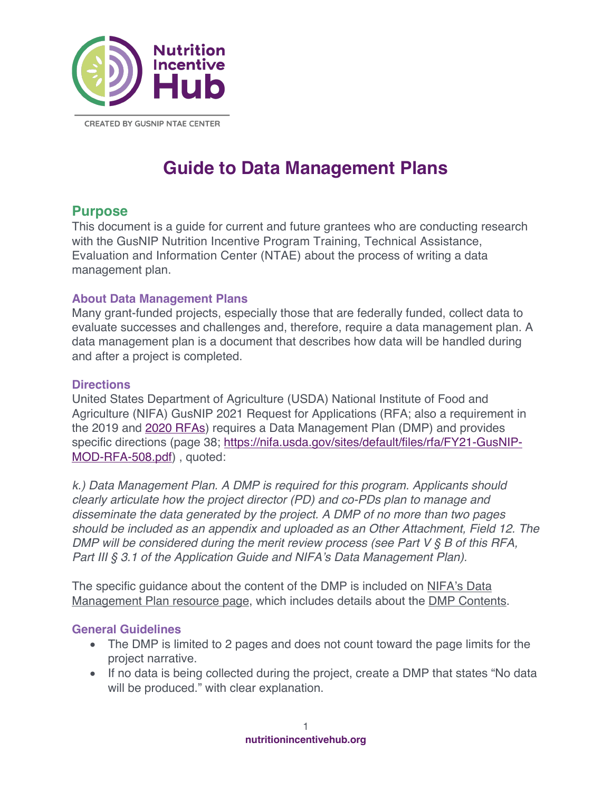

# **Guide to Data Management Plans**

# **Purpose**

 This document is a guide for current and future grantees who are conducting research Evaluation and Information Center (NTAE) about the process of writing a data management plan. with the GusNIP Nutrition Incentive Program Training, Technical Assistance,

### **About Data Management Plans**

 Many grant-funded projects, especially those that are federally funded, collect data to evaluate successes and challenges and, therefore, require a data management plan. A data management plan is a document that describes how data will be handled during and after a project is completed.

# **Directions**

 United States Department of Agriculture (USDA) National Institute of Food and Agriculture (NIFA) GusNIP 2021 Request for Applications (RFA; also a requirement in the 2019 and 2020 RFAs) requires a Data Management Plan (DMP) and provides MOD-RFA-508.pdf) , quoted: specific directions (page 38; [https://nifa.usda.gov/sites/default/files/rfa/FY21-GusNIP-](https://nifa.usda.gov/sites/default/files/rfa/FY21-GusNIP)

 *k.) Data Management Plan. A DMP is required for this program. Applicants should clearly articulate how the project director (PD) and co-PDs plan to manage and disseminate the data generated by the project. A DMP of no more than two pages should be included as an appendix and uploaded as an Other Attachment, Field 12. The DMP will be considered during the merit review process (see Part V § B of this RFA, Part III § 3.1 of the Application Guide and NIFA's Data Management Plan).* 

The specific guidance about the content of the DMP is included on NIFA's Data Management Plan resource page, which includes details about the DMP Contents.

#### **General Guidelines**

- • The DMP is limited to 2 pages and does not count toward the page limits for the project narrative.
- • If no data is being collected during the project, create a DMP that states "No data will be produced." with clear explanation.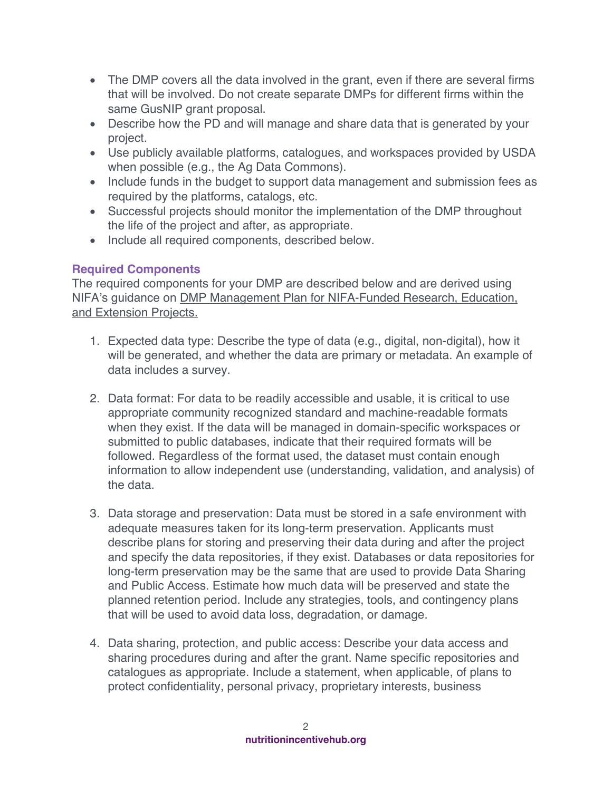- • The DMP covers all the data involved in the grant, even if there are several firms that will be involved. Do not create separate DMPs for different firms within the same GusNIP grant proposal.
- • Describe how the PD and will manage and share data that is generated by your project.
- • Use publicly available platforms, catalogues, and workspaces provided by USDA when possible (e.g., the Ag Data Commons).
- • Include funds in the budget to support data management and submission fees as required by the platforms, catalogs, etc.
- • Successful projects should monitor the implementation of the DMP throughout the life of the project and after, as appropriate.
- Include all required components, described below.

# **Required Components**

 The required components for your DMP are described below and are derived using NIFA's guidance on DMP Management Plan for NIFA-Funded Research, Education, and Extension Projects.

- 1. Expected data type: Describe the type of data (e.g., digital, non-digital), how it will be generated, and whether the data are primary or metadata. An example of data includes a survey.
- 2. Data format: For data to be readily accessible and usable, it is critical to use appropriate community recognized standard and machine-readable formats when they exist. If the data will be managed in domain-specific workspaces or submitted to public databases, indicate that their required formats will be followed. Regardless of the format used, the dataset must contain enough information to allow independent use (understanding, validation, and analysis) of the data.
- 3. Data storage and preservation: Data must be stored in a safe environment with describe plans for storing and preserving their data during and after the project and specify the data repositories, if they exist. Databases or data repositories for long-term preservation may be the same that are used to provide Data Sharing and Public Access. Estimate how much data will be preserved and state the planned retention period. Include any strategies, tools, and contingency plans that will be used to avoid data loss, degradation, or damage. adequate measures taken for its long-term preservation. Applicants must
- 4. Data sharing, protection, and public access: Describe your data access and sharing procedures during and after the grant. Name specific repositories and catalogues as appropriate. Include a statement, when applicable, of plans to protect confidentiality, personal privacy, proprietary interests, business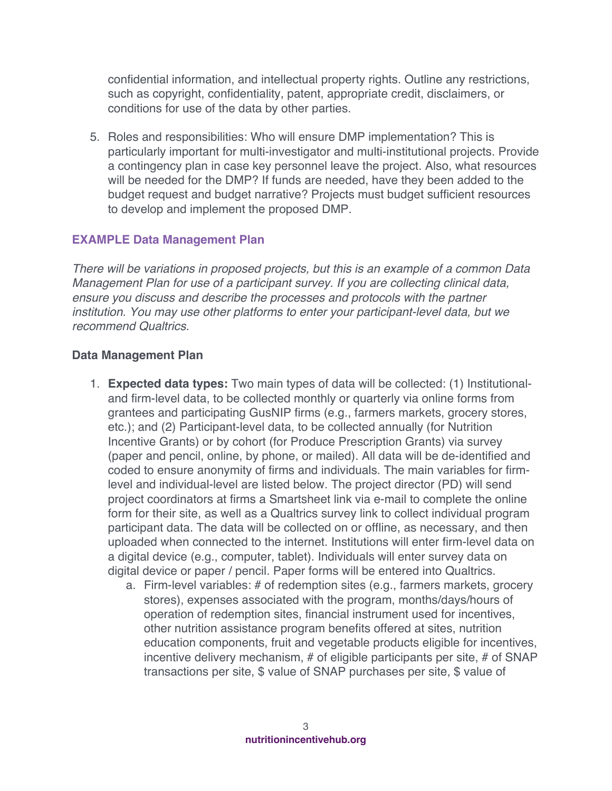confidential information, and intellectual property rights. Outline any restrictions, such as copyright, confidentiality, patent, appropriate credit, disclaimers, or conditions for use of the data by other parties.

 5. Roles and responsibilities: Who will ensure DMP implementation? This is particularly important for multi-investigator and multi-institutional projects. Provide a contingency plan in case key personnel leave the project. Also, what resources will be needed for the DMP? If funds are needed, have they been added to the budget request and budget narrative? Projects must budget sufficient resources to develop and implement the proposed DMP.

# **EXAMPLE Data Management Plan**

 *There will be variations in proposed projects, but this is an example of a common Data Management Plan for use of a participant survey. If you are collecting clinical data,* ensure you discuss and describe the processes and protocols with the partner  *institution. You may use other platforms to enter your participant-level data, but we recommend Qualtrics.* 

# **Data Management Plan**

- 1. **Expected data types:** Two main types of data will be collected: (1) Institutional- and firm-level data, to be collected monthly or quarterly via online forms from etc.); and (2) Participant-level data, to be collected annually (for Nutrition Incentive Grants) or by cohort (for Produce Prescription Grants) via survey (paper and pencil, online, by phone, or mailed). All data will be de-identified and coded to ensure anonymity of firms and individuals. The main variables for firm- level and individual-level are listed below. The project director (PD) will send project coordinators at firms a Smartsheet link via e-mail to complete the online form for their site, as well as a Qualtrics survey link to collect individual program participant data. The data will be collected on or offline, as necessary, and then uploaded when connected to the internet. Institutions will enter firm-level data on a digital device (e.g., computer, tablet). Individuals will enter survey data on digital device or paper / pencil. Paper forms will be entered into Qualtrics. grantees and participating GusNIP firms (e.g., farmers markets, grocery stores,
	- a. Firm-level variables: # of redemption sites (e.g., farmers markets, grocery stores), expenses associated with the program, months/days/hours of operation of redemption sites, financial instrument used for incentives, other nutrition assistance program benefits offered at sites, nutrition education components, fruit and vegetable products eligible for incentives, incentive delivery mechanism, # of eligible participants per site, # of SNAP transactions per site, \$ value of SNAP purchases per site, \$ value of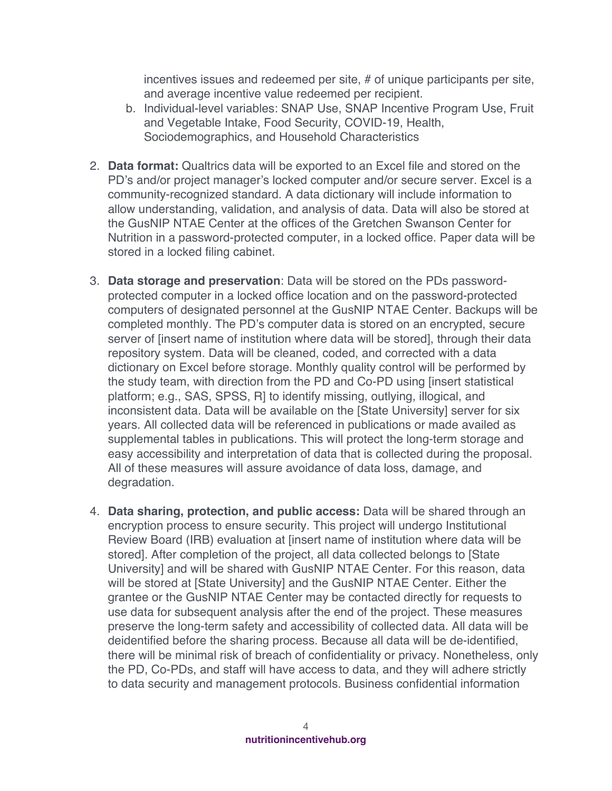incentives issues and redeemed per site, # of unique participants per site, and average incentive value redeemed per recipient.

- b. Individual-level variables: SNAP Use, SNAP Incentive Program Use, Fruit and Vegetable Intake, Food Security, COVID-19, Health, Sociodemographics, and Household Characteristics
- 2. **Data format:** Qualtrics data will be exported to an Excel file and stored on the PD's and/or project manager's locked computer and/or secure server. Excel is a community-recognized standard. A data dictionary will include information to allow understanding, validation, and analysis of data. Data will also be stored at the GusNIP NTAE Center at the offices of the Gretchen Swanson Center for Nutrition in a password-protected computer, in a locked office. Paper data will be stored in a locked filing cabinet.
- 3. **Data storage and preservation**: Data will be stored on the PDs password- protected computer in a locked office location and on the password-protected computers of designated personnel at the GusNIP NTAE Center. Backups will be completed monthly. The PD's computer data is stored on an encrypted, secure server of [insert name of institution where data will be stored], through their data repository system. Data will be cleaned, coded, and corrected with a data dictionary on Excel before storage. Monthly quality control will be performed by the study team, with direction from the PD and Co-PD using [insert statistical platform; e.g., SAS, SPSS, R] to identify missing, outlying, illogical, and inconsistent data. Data will be available on the [State University] server for six years. All collected data will be referenced in publications or made availed as supplemental tables in publications. This will protect the long-term storage and easy accessibility and interpretation of data that is collected during the proposal. All of these measures will assure avoidance of data loss, damage, and degradation.
- 4. **Data sharing, protection, and public access:** Data will be shared through an encryption process to ensure security. This project will undergo Institutional Review Board (IRB) evaluation at [insert name of institution where data will be stored]. After completion of the project, all data collected belongs to [State University] and will be shared with GusNIP NTAE Center. For this reason, data will be stored at [State University] and the GusNIP NTAE Center. Either the grantee or the GusNIP NTAE Center may be contacted directly for requests to use data for subsequent analysis after the end of the project. These measures preserve the long-term safety and accessibility of collected data. All data will be deidentified before the sharing process. Because all data will be de-identified, there will be minimal risk of breach of confidentiality or privacy. Nonetheless, only the PD, Co-PDs, and staff will have access to data, and they will adhere strictly to data security and management protocols. Business confidential information